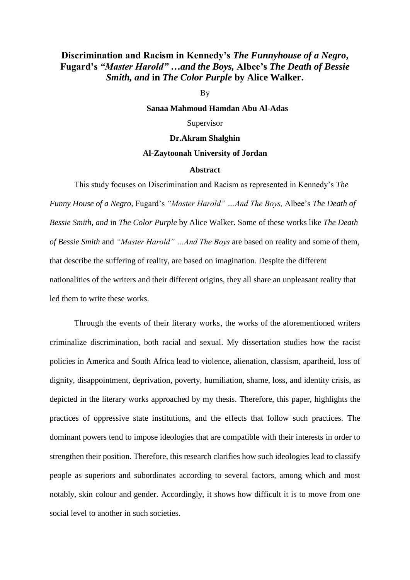## **Discrimination and Racism in Kennedy's** *The Funnyhouse of a Negro***, Fugard's** *"Master Harold" …and the Boys,* **Albee's** *The Death of Bessie Smith, and* **in** *The Color Purple* **by Alice Walker.**

By

**Sanaa Mahmoud Hamdan Abu Al-Adas**

Supervisor

## **Dr.Akram Shalghin**

## **Al-Zaytoonah University of Jordan**

## **Abstract**

This study focuses on Discrimination and Racism as represented in Kennedy's *The* 

*Funny House of a Negro*, Fugard's *"Master Harold" …And The Boys,* Albee's *The Death of Bessie Smith, and* in *The Color Purple* by Alice Walker. Some of these works like *The Death of Bessie Smith* and *"Master Harold" …And The Boys* are based on reality and some of them, that describe the suffering of reality, are based on imagination. Despite the different nationalities of the writers and their different origins, they all share an unpleasant reality that led them to write these works.

Through the events of their literary works, the works of the aforementioned writers criminalize discrimination, both racial and sexual. My dissertation studies how the racist policies in America and South Africa lead to violence, alienation, classism, apartheid, loss of dignity, disappointment, deprivation, poverty, humiliation, shame, loss, and identity crisis, as depicted in the literary works approached by my thesis. Therefore, this paper, highlights the practices of oppressive state institutions, and the effects that follow such practices. The dominant powers tend to impose ideologies that are compatible with their interests in order to strengthen their position. Therefore, this research clarifies how such ideologies lead to classify people as superiors and subordinates according to several factors, among which and most notably, skin colour and gender. Accordingly, it shows how difficult it is to move from one social level to another in such societies.